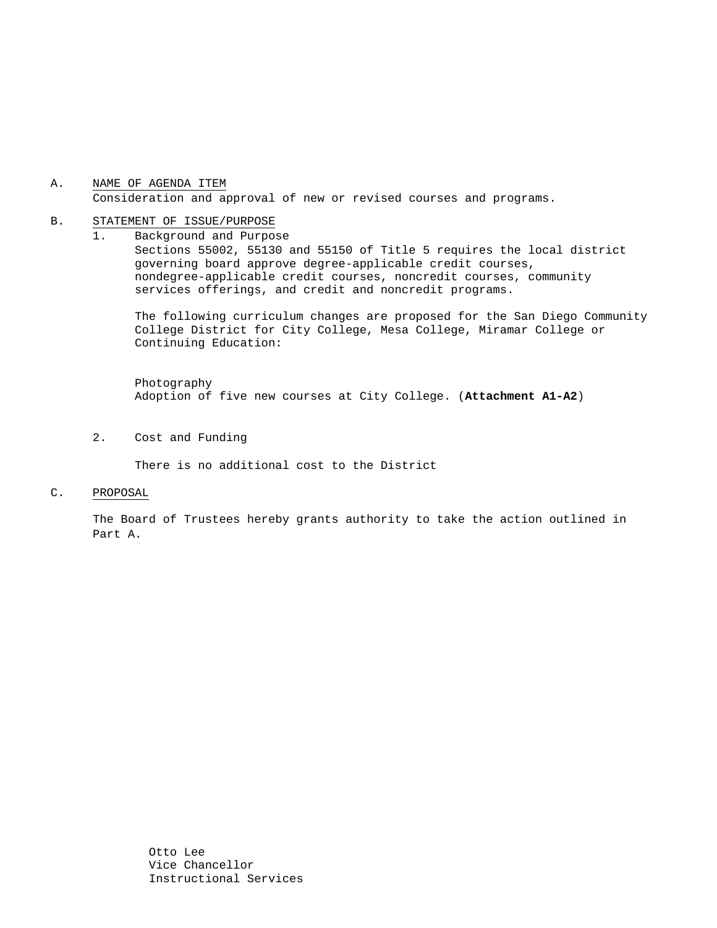# A. NAME OF AGENDA ITEM Consideration and approval of new or revised courses and programs.

#### B. STATEMENT OF ISSUE/PURPOSE

1. Background and Purpose Sections 55002, 55130 and 55150 of Title 5 requires the local district governing board approve degree-applicable credit courses, nondegree-applicable credit courses, noncredit courses, community services offerings, and credit and noncredit programs.

The following curriculum changes are proposed for the San Diego Community College District for City College, Mesa College, Miramar College or Continuing Education:

 Photography Adoption of five new courses at City College. (**Attachment A1-A2**)

2. Cost and Funding

There is no additional cost to the District

C. PROPOSAL

The Board of Trustees hereby grants authority to take the action outlined in Part A.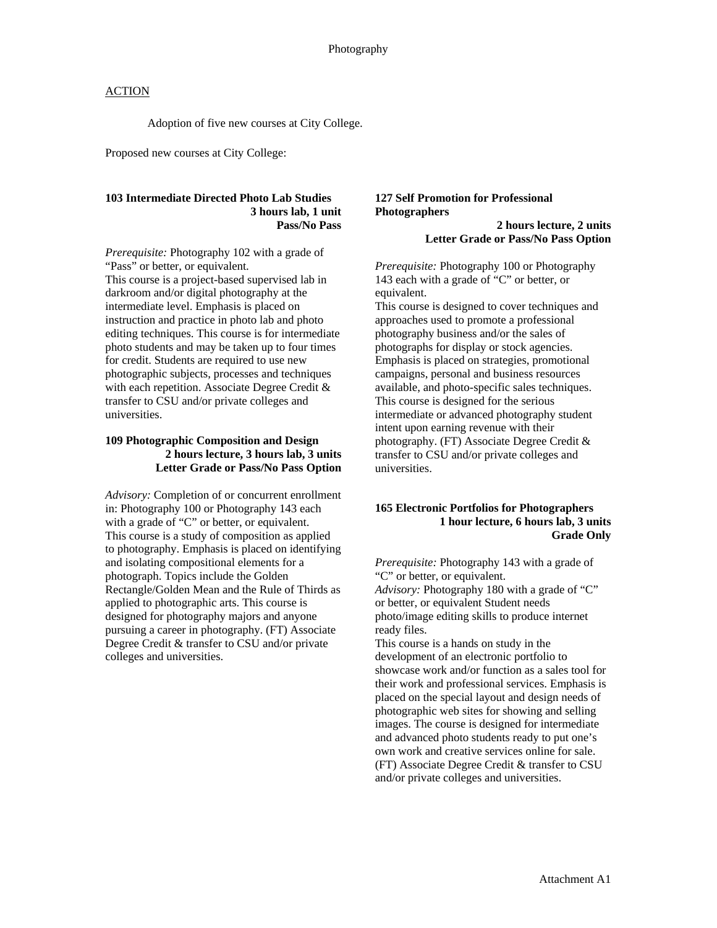# **ACTION**

Adoption of five new courses at City College.

Proposed new courses at City College:

#### **103 Intermediate Directed Photo Lab Studies 3 hours lab, 1 unit Pass/No Pass**

*Prerequisite:* Photography 102 with a grade of "Pass" or better, or equivalent.

This course is a project-based supervised lab in darkroom and/or digital photography at the intermediate level. Emphasis is placed on instruction and practice in photo lab and photo editing techniques. This course is for intermediate photo students and may be taken up to four times for credit. Students are required to use new photographic subjects, processes and techniques with each repetition. Associate Degree Credit & transfer to CSU and/or private colleges and universities.

# **109 Photographic Composition and Design 2 hours lecture, 3 hours lab, 3 units Letter Grade or Pass/No Pass Option**

*Advisory:* Completion of or concurrent enrollment in: Photography 100 or Photography 143 each with a grade of "C" or better, or equivalent. This course is a study of composition as applied to photography. Emphasis is placed on identifying and isolating compositional elements for a photograph. Topics include the Golden Rectangle/Golden Mean and the Rule of Thirds as applied to photographic arts. This course is designed for photography majors and anyone pursuing a career in photography. (FT) Associate Degree Credit & transfer to CSU and/or private colleges and universities.

# **127 Self Promotion for Professional Photographers**

**2 hours lecture, 2 units Letter Grade or Pass/No Pass Option** 

*Prerequisite:* Photography 100 or Photography 143 each with a grade of "C" or better, or equivalent.

This course is designed to cover techniques and approaches used to promote a professional photography business and/or the sales of photographs for display or stock agencies. Emphasis is placed on strategies, promotional campaigns, personal and business resources available, and photo-specific sales techniques. This course is designed for the serious intermediate or advanced photography student intent upon earning revenue with their photography. (FT) Associate Degree Credit & transfer to CSU and/or private colleges and universities.

#### **165 Electronic Portfolios for Photographers 1 hour lecture, 6 hours lab, 3 units Grade Only**

*Prerequisite:* Photography 143 with a grade of "C" or better, or equivalent.

*Advisory:* Photography 180 with a grade of "C" or better, or equivalent Student needs photo/image editing skills to produce internet ready files.

This course is a hands on study in the development of an electronic portfolio to showcase work and/or function as a sales tool for their work and professional services. Emphasis is placed on the special layout and design needs of photographic web sites for showing and selling images. The course is designed for intermediate and advanced photo students ready to put one's own work and creative services online for sale. (FT) Associate Degree Credit & transfer to CSU and/or private colleges and universities.